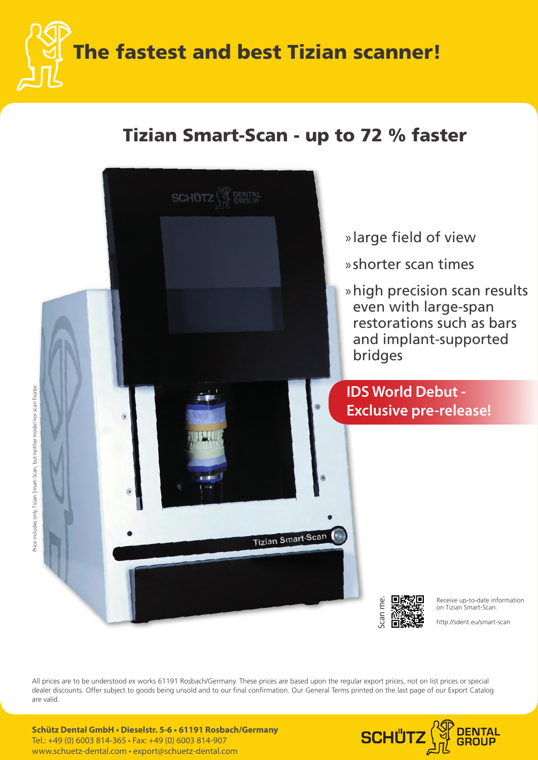The fastest and best Tizian scanner!

### Tizian Smart-Scan - up to 72 % faster



All prices are to be understood ex works 61191 Rosbach/Germany. These prices are based upon the regular export prices, not on list prices or special dealer discounts. Offer subject to goods being unsold and to our final confirmation. Our General Terms printed on the last page of our Export Catalog are valid.